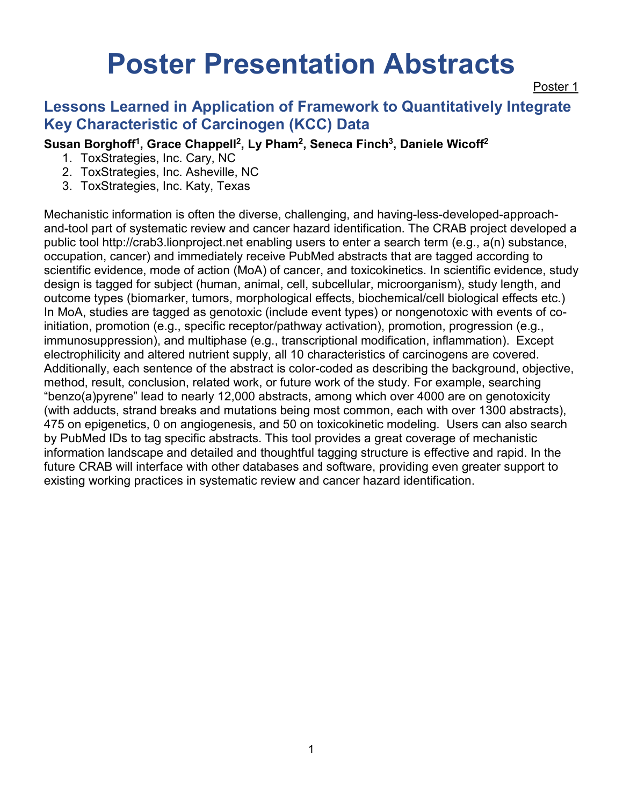# **Poster Presentation Abstracts**

Poster 1

# **Lessons Learned in Application of Framework to Quantitatively Integrate Key Characteristic of Carcinogen (KCC) Data**

## Susan Borghoff<sup>1</sup>, Grace Chappell<sup>2</sup>, Ly Pham<sup>2</sup>, Seneca Finch<sup>3</sup>, Daniele Wicoff<sup>2</sup>

- 1. ToxStrategies, Inc. Cary, NC
- 2. ToxStrategies, Inc. Asheville, NC
- 3. ToxStrategies, Inc. Katy, Texas

Mechanistic information is often the diverse, challenging, and having-less-developed-approachand-tool part of systematic review and cancer hazard identification. The CRAB project developed a public tool http://crab3.lionproject.net enabling users to enter a search term (e.g., a(n) substance, occupation, cancer) and immediately receive PubMed abstracts that are tagged according to scientific evidence, mode of action (MoA) of cancer, and toxicokinetics. In scientific evidence, study design is tagged for subject (human, animal, cell, subcellular, microorganism), study length, and outcome types (biomarker, tumors, morphological effects, biochemical/cell biological effects etc.) In MoA, studies are tagged as genotoxic (include event types) or nongenotoxic with events of coinitiation, promotion (e.g., specific receptor/pathway activation), promotion, progression (e.g., immunosuppression), and multiphase (e.g., transcriptional modification, inflammation). Except electrophilicity and altered nutrient supply, all 10 characteristics of carcinogens are covered. Additionally, each sentence of the abstract is color-coded as describing the background, objective, method, result, conclusion, related work, or future work of the study. For example, searching "benzo(a)pyrene" lead to nearly 12,000 abstracts, among which over 4000 are on genotoxicity (with adducts, strand breaks and mutations being most common, each with over 1300 abstracts), 475 on epigenetics, 0 on angiogenesis, and 50 on toxicokinetic modeling. Users can also search by PubMed IDs to tag specific abstracts. This tool provides a great coverage of mechanistic information landscape and detailed and thoughtful tagging structure is effective and rapid. In the future CRAB will interface with other databases and software, providing even greater support to existing working practices in systematic review and cancer hazard identification.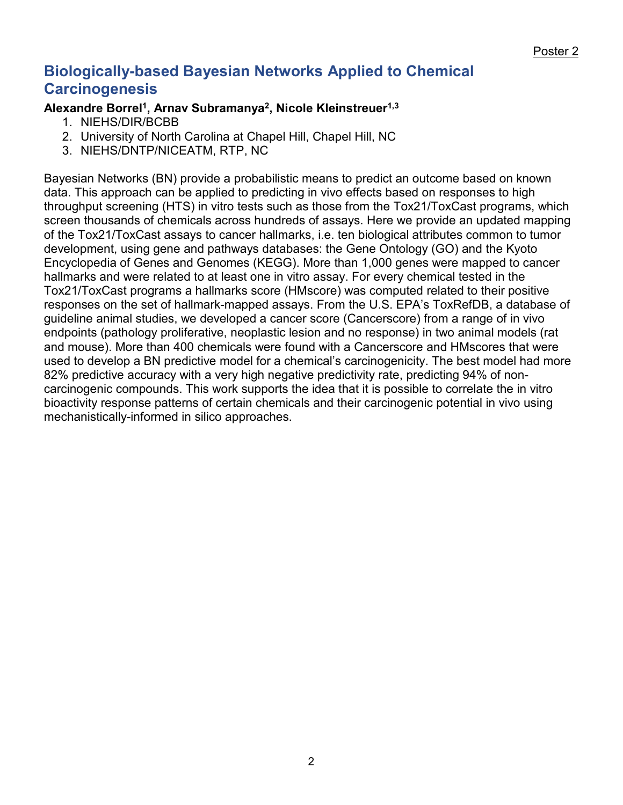# **Biologically-based Bayesian Networks Applied to Chemical Carcinogenesis**

#### **Alexandre Borrel1, Arnav Subramanya2, Nicole Kleinstreuer1,3**

- 1. NIEHS/DIR/BCBB
- 2. University of North Carolina at Chapel Hill, Chapel Hill, NC
- 3. NIEHS/DNTP/NICEATM, RTP, NC

Bayesian Networks (BN) provide a probabilistic means to predict an outcome based on known data. This approach can be applied to predicting in vivo effects based on responses to high throughput screening (HTS) in vitro tests such as those from the Tox21/ToxCast programs, which screen thousands of chemicals across hundreds of assays. Here we provide an updated mapping of the Tox21/ToxCast assays to cancer hallmarks, i.e. ten biological attributes common to tumor development, using gene and pathways databases: the Gene Ontology (GO) and the Kyoto Encyclopedia of Genes and Genomes (KEGG). More than 1,000 genes were mapped to cancer hallmarks and were related to at least one in vitro assay. For every chemical tested in the Tox21/ToxCast programs a hallmarks score (HMscore) was computed related to their positive responses on the set of hallmark-mapped assays. From the U.S. EPA's ToxRefDB, a database of guideline animal studies, we developed a cancer score (Cancerscore) from a range of in vivo endpoints (pathology proliferative, neoplastic lesion and no response) in two animal models (rat and mouse). More than 400 chemicals were found with a Cancerscore and HMscores that were used to develop a BN predictive model for a chemical's carcinogenicity. The best model had more 82% predictive accuracy with a very high negative predictivity rate, predicting 94% of noncarcinogenic compounds. This work supports the idea that it is possible to correlate the in vitro bioactivity response patterns of certain chemicals and their carcinogenic potential in vivo using mechanistically-informed in silico approaches.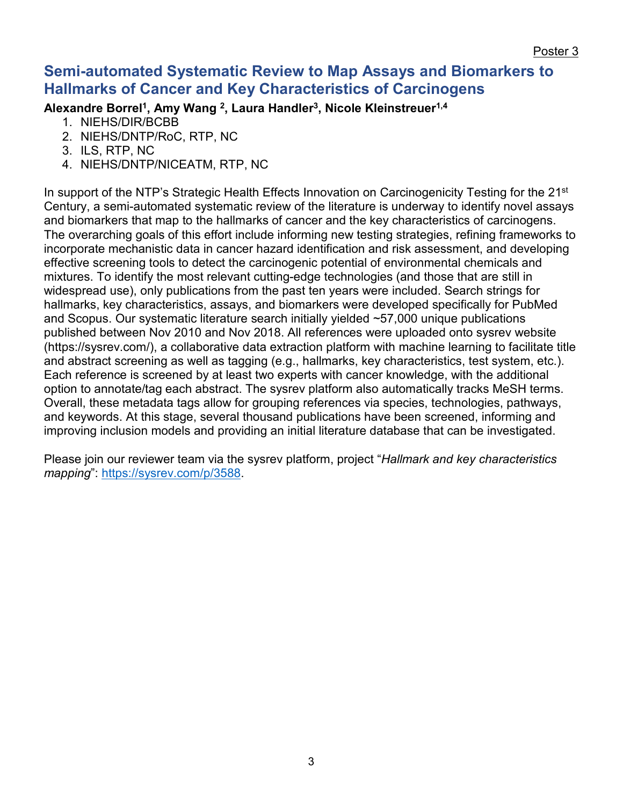## **Semi-automated Systematic Review to Map Assays and Biomarkers to Hallmarks of Cancer and Key Characteristics of Carcinogens**

**Alexandre Borrel1, Amy Wang 2, Laura Handler3, Nicole Kleinstreuer1,4**

- 1. NIEHS/DIR/BCBB
- 2. NIEHS/DNTP/RoC, RTP, NC
- 3. ILS, RTP, NC
- 4. NIEHS/DNTP/NICEATM, RTP, NC

In support of the NTP's Strategic Health Effects Innovation on Carcinogenicity Testing for the 21<sup>st</sup> Century, a semi-automated systematic review of the literature is underway to identify novel assays and biomarkers that map to the hallmarks of cancer and the key characteristics of carcinogens. The overarching goals of this effort include informing new testing strategies, refining frameworks to incorporate mechanistic data in cancer hazard identification and risk assessment, and developing effective screening tools to detect the carcinogenic potential of environmental chemicals and mixtures. To identify the most relevant cutting-edge technologies (and those that are still in widespread use), only publications from the past ten years were included. Search strings for hallmarks, key characteristics, assays, and biomarkers were developed specifically for PubMed and Scopus. Our systematic literature search initially yielded ~57,000 unique publications published between Nov 2010 and Nov 2018. All references were uploaded onto sysrev website (https://sysrev.com/), a collaborative data extraction platform with machine learning to facilitate title and abstract screening as well as tagging (e.g., hallmarks, key characteristics, test system, etc.). Each reference is screened by at least two experts with cancer knowledge, with the additional option to annotate/tag each abstract. The sysrev platform also automatically tracks MeSH terms. Overall, these metadata tags allow for grouping references via species, technologies, pathways, and keywords. At this stage, several thousand publications have been screened, informing and improving inclusion models and providing an initial literature database that can be investigated.

Please join our reviewer team via the sysrev platform, project "*Hallmark and key characteristics mapping*": [https://sysrev.com/p/3588.](https://sysrev.com/p/3588)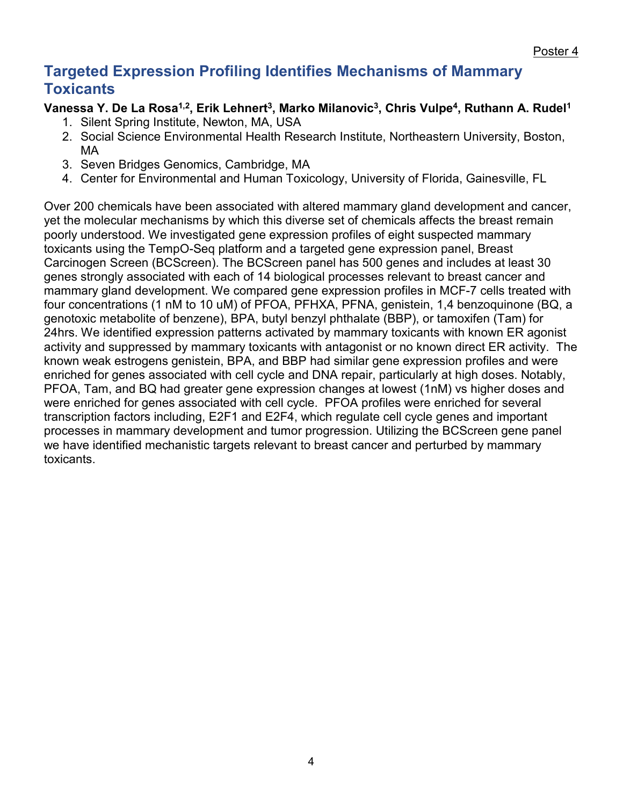# **Targeted Expression Profiling Identifies Mechanisms of Mammary Toxicants**

## Vanessa Y. De La Rosa<sup>1,2</sup>, Erik Lehnert<sup>3</sup>, Marko Milanovic<sup>3</sup>, Chris Vulpe<sup>4</sup>, Ruthann A. Rudel<sup>1</sup>

- 1. Silent Spring Institute, Newton, MA, USA
- 2. Social Science Environmental Health Research Institute, Northeastern University, Boston, MA
- 3. Seven Bridges Genomics, Cambridge, MA
- 4. Center for Environmental and Human Toxicology, University of Florida, Gainesville, FL

Over 200 chemicals have been associated with altered mammary gland development and cancer, yet the molecular mechanisms by which this diverse set of chemicals affects the breast remain poorly understood. We investigated gene expression profiles of eight suspected mammary toxicants using the TempO-Seq platform and a targeted gene expression panel, Breast Carcinogen Screen (BCScreen). The BCScreen panel has 500 genes and includes at least 30 genes strongly associated with each of 14 biological processes relevant to breast cancer and mammary gland development. We compared gene expression profiles in MCF-7 cells treated with four concentrations (1 nM to 10 uM) of PFOA, PFHXA, PFNA, genistein, 1,4 benzoquinone (BQ, a genotoxic metabolite of benzene), BPA, butyl benzyl phthalate (BBP), or tamoxifen (Tam) for 24hrs. We identified expression patterns activated by mammary toxicants with known ER agonist activity and suppressed by mammary toxicants with antagonist or no known direct ER activity. The known weak estrogens genistein, BPA, and BBP had similar gene expression profiles and were enriched for genes associated with cell cycle and DNA repair, particularly at high doses. Notably, PFOA, Tam, and BQ had greater gene expression changes at lowest (1nM) vs higher doses and were enriched for genes associated with cell cycle. PFOA profiles were enriched for several transcription factors including, E2F1 and E2F4, which regulate cell cycle genes and important processes in mammary development and tumor progression. Utilizing the BCScreen gene panel we have identified mechanistic targets relevant to breast cancer and perturbed by mammary toxicants.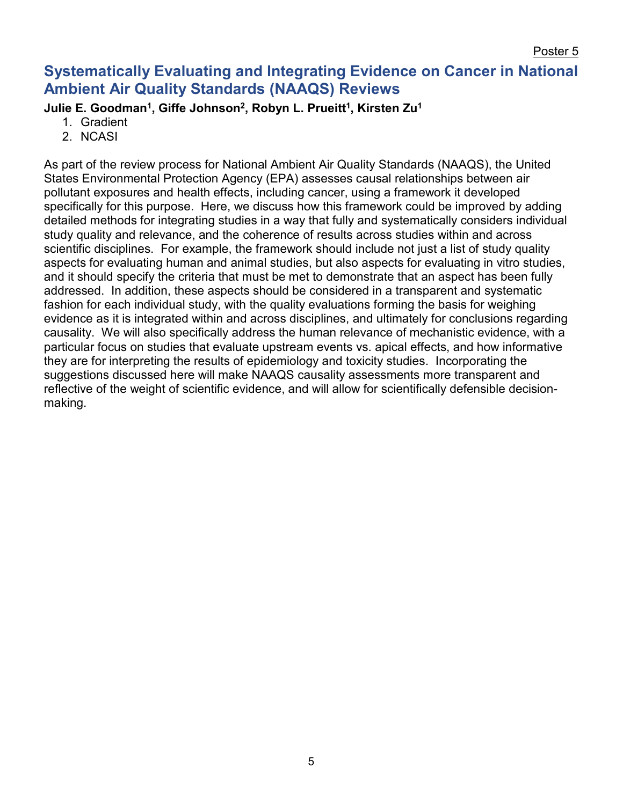# **Systematically Evaluating and Integrating Evidence on Cancer in National Ambient Air Quality Standards (NAAQS) Reviews**

Julie E. Goodman<sup>1</sup>, Giffe Johnson<sup>2</sup>, Robyn L. Prueitt<sup>1</sup>, Kirsten Zu<sup>1</sup>

- 1. Gradient
- 2. NCASI

As part of the review process for National Ambient Air Quality Standards (NAAQS), the United States Environmental Protection Agency (EPA) assesses causal relationships between air pollutant exposures and health effects, including cancer, using a framework it developed specifically for this purpose. Here, we discuss how this framework could be improved by adding detailed methods for integrating studies in a way that fully and systematically considers individual study quality and relevance, and the coherence of results across studies within and across scientific disciplines. For example, the framework should include not just a list of study quality aspects for evaluating human and animal studies, but also aspects for evaluating in vitro studies, and it should specify the criteria that must be met to demonstrate that an aspect has been fully addressed. In addition, these aspects should be considered in a transparent and systematic fashion for each individual study, with the quality evaluations forming the basis for weighing evidence as it is integrated within and across disciplines, and ultimately for conclusions regarding causality. We will also specifically address the human relevance of mechanistic evidence, with a particular focus on studies that evaluate upstream events vs. apical effects, and how informative they are for interpreting the results of epidemiology and toxicity studies. Incorporating the suggestions discussed here will make NAAQS causality assessments more transparent and reflective of the weight of scientific evidence, and will allow for scientifically defensible decisionmaking.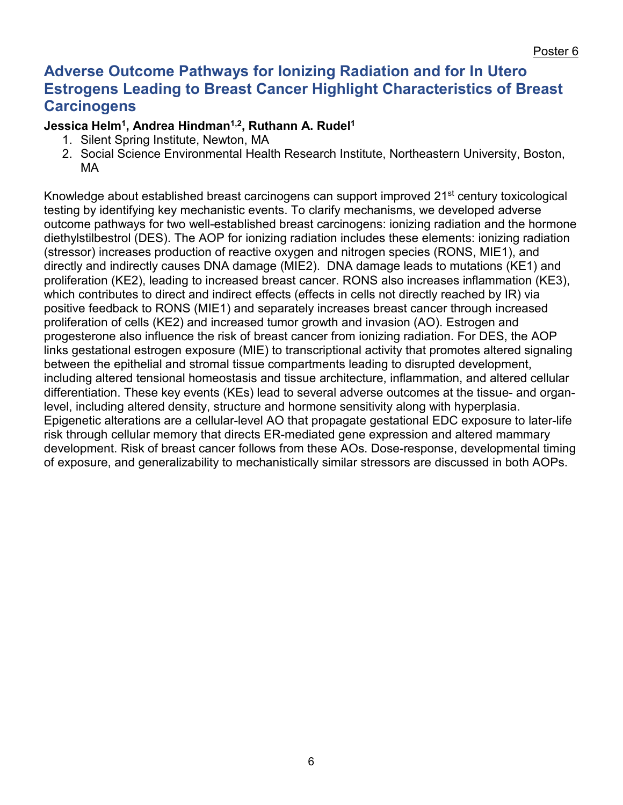## **Adverse Outcome Pathways for Ionizing Radiation and for In Utero Estrogens Leading to Breast Cancer Highlight Characteristics of Breast Carcinogens**

#### **Jessica Helm1, Andrea Hindman1,2, Ruthann A. Rudel1**

- 1. Silent Spring Institute, Newton, MA
- 2. Social Science Environmental Health Research Institute, Northeastern University, Boston, MA

Knowledge about established breast carcinogens can support improved 21<sup>st</sup> century toxicological testing by identifying key mechanistic events. To clarify mechanisms, we developed adverse outcome pathways for two well-established breast carcinogens: ionizing radiation and the hormone diethylstilbestrol (DES). The AOP for ionizing radiation includes these elements: ionizing radiation (stressor) increases production of reactive oxygen and nitrogen species (RONS, MIE1), and directly and indirectly causes DNA damage (MIE2). DNA damage leads to mutations (KE1) and proliferation (KE2), leading to increased breast cancer. RONS also increases inflammation (KE3), which contributes to direct and indirect effects (effects in cells not directly reached by IR) via positive feedback to RONS (MIE1) and separately increases breast cancer through increased proliferation of cells (KE2) and increased tumor growth and invasion (AO). Estrogen and progesterone also influence the risk of breast cancer from ionizing radiation. For DES, the AOP links gestational estrogen exposure (MIE) to transcriptional activity that promotes altered signaling between the epithelial and stromal tissue compartments leading to disrupted development, including altered tensional homeostasis and tissue architecture, inflammation, and altered cellular differentiation. These key events (KEs) lead to several adverse outcomes at the tissue- and organlevel, including altered density, structure and hormone sensitivity along with hyperplasia. Epigenetic alterations are a cellular-level AO that propagate gestational EDC exposure to later-life risk through cellular memory that directs ER-mediated gene expression and altered mammary development. Risk of breast cancer follows from these AOs. Dose-response, developmental timing of exposure, and generalizability to mechanistically similar stressors are discussed in both AOPs.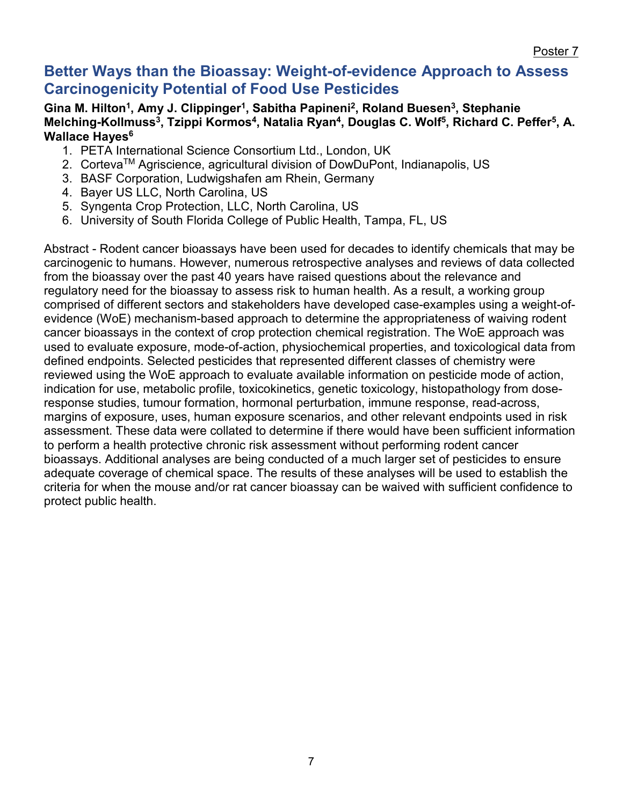## **Better Ways than the Bioassay: Weight-of-evidence Approach to Assess Carcinogenicity Potential of Food Use Pesticides**

#### Gina M. Hilton<sup>1</sup>, Amy J. Clippinger<sup>1</sup>, Sabitha Papineni<sup>2</sup>, Roland Buesen<sup>3</sup>, Stephanie Melching-Kollmuss<sup>3</sup>, Tzippi Kormos<sup>4</sup>, Natalia Ryan<sup>4</sup>, Douglas C. Wolf<sup>5</sup>, Richard C. Peffer<sup>5</sup>, A. Wallace Hayes<sup>6</sup>

- 1. PETA International Science Consortium Ltd., London, UK
- 2. Corteva<sup>™</sup> Agriscience, agricultural division of DowDuPont, Indianapolis, US
- 3. BASF Corporation, Ludwigshafen am Rhein, Germany
- 4. Bayer US LLC, North Carolina, US
- 5. Syngenta Crop Protection, LLC, North Carolina, US
- 6. University of South Florida College of Public Health, Tampa, FL, US

Abstract - Rodent cancer bioassays have been used for decades to identify chemicals that may be carcinogenic to humans. However, numerous retrospective analyses and reviews of data collected from the bioassay over the past 40 years have raised questions about the relevance and regulatory need for the bioassay to assess risk to human health. As a result, a working group comprised of different sectors and stakeholders have developed case-examples using a weight-ofevidence (WoE) mechanism-based approach to determine the appropriateness of waiving rodent cancer bioassays in the context of crop protection chemical registration. The WoE approach was used to evaluate exposure, mode-of-action, physiochemical properties, and toxicological data from defined endpoints. Selected pesticides that represented different classes of chemistry were reviewed using the WoE approach to evaluate available information on pesticide mode of action, indication for use, metabolic profile, toxicokinetics, genetic toxicology, histopathology from doseresponse studies, tumour formation, hormonal perturbation, immune response, read-across, margins of exposure, uses, human exposure scenarios, and other relevant endpoints used in risk assessment. These data were collated to determine if there would have been sufficient information to perform a health protective chronic risk assessment without performing rodent cancer bioassays. Additional analyses are being conducted of a much larger set of pesticides to ensure adequate coverage of chemical space. The results of these analyses will be used to establish the criteria for when the mouse and/or rat cancer bioassay can be waived with sufficient confidence to protect public health.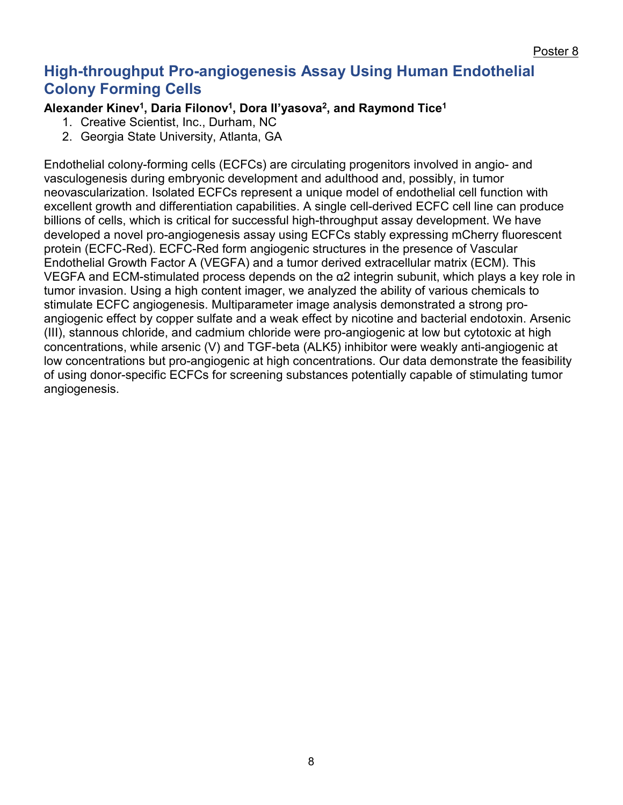# **High-throughput Pro-angiogenesis Assay Using Human Endothelial Colony Forming Cells**

### Alexander Kinev<sup>1</sup>, Daria Filonov<sup>1</sup>, Dora II'yasova<sup>2</sup>, and Raymond Tice<sup>1</sup>

- 1. Creative Scientist, Inc., Durham, NC
- 2. Georgia State University, Atlanta, GA

Endothelial colony-forming cells (ECFCs) are circulating progenitors involved in angio- and vasculogenesis during embryonic development and adulthood and, possibly, in tumor neovascularization. Isolated ECFCs represent a unique model of endothelial cell function with excellent growth and differentiation capabilities. A single cell-derived ECFC cell line can produce billions of cells, which is critical for successful high-throughput assay development. We have developed a novel pro-angiogenesis assay using ECFCs stably expressing mCherry fluorescent protein (ECFC-Red). ECFC-Red form angiogenic structures in the presence of Vascular Endothelial Growth Factor A (VEGFA) and a tumor derived extracellular matrix (ECM). This VEGFA and ECM-stimulated process depends on the α2 integrin subunit, which plays a key role in tumor invasion. Using a high content imager, we analyzed the ability of various chemicals to stimulate ECFC angiogenesis. Multiparameter image analysis demonstrated a strong proangiogenic effect by copper sulfate and a weak effect by nicotine and bacterial endotoxin. Arsenic (III), stannous chloride, and cadmium chloride were pro-angiogenic at low but cytotoxic at high concentrations, while arsenic (V) and TGF-beta (ALK5) inhibitor were weakly anti-angiogenic at low concentrations but pro-angiogenic at high concentrations. Our data demonstrate the feasibility of using donor-specific ECFCs for screening substances potentially capable of stimulating tumor angiogenesis.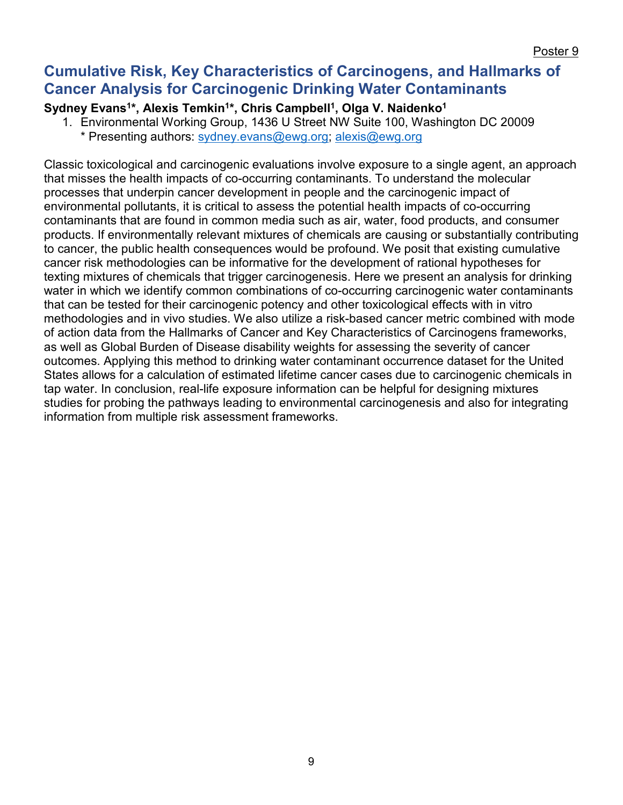## **Cumulative Risk, Key Characteristics of Carcinogens, and Hallmarks of Cancer Analysis for Carcinogenic Drinking Water Contaminants**

## Sydney Evans<sup>1\*</sup>, Alexis Temkin<sup>1\*</sup>, Chris Campbell<sup>1</sup>, Olga V. Naidenko<sup>1</sup>

1. Environmental Working Group, 1436 U Street NW Suite 100, Washington DC 20009 \* Presenting authors: [sydney.evans@ewg.org;](mailto:sydney.evans@ewg.org) [alexis@ewg.org](mailto:alexis@ewg.org)

Classic toxicological and carcinogenic evaluations involve exposure to a single agent, an approach that misses the health impacts of co-occurring contaminants. To understand the molecular processes that underpin cancer development in people and the carcinogenic impact of environmental pollutants, it is critical to assess the potential health impacts of co-occurring contaminants that are found in common media such as air, water, food products, and consumer products. If environmentally relevant mixtures of chemicals are causing or substantially contributing to cancer, the public health consequences would be profound. We posit that existing cumulative cancer risk methodologies can be informative for the development of rational hypotheses for texting mixtures of chemicals that trigger carcinogenesis. Here we present an analysis for drinking water in which we identify common combinations of co-occurring carcinogenic water contaminants that can be tested for their carcinogenic potency and other toxicological effects with in vitro methodologies and in vivo studies. We also utilize a risk-based cancer metric combined with mode of action data from the Hallmarks of Cancer and Key Characteristics of Carcinogens frameworks, as well as Global Burden of Disease disability weights for assessing the severity of cancer outcomes. Applying this method to drinking water contaminant occurrence dataset for the United States allows for a calculation of estimated lifetime cancer cases due to carcinogenic chemicals in tap water. In conclusion, real-life exposure information can be helpful for designing mixtures studies for probing the pathways leading to environmental carcinogenesis and also for integrating information from multiple risk assessment frameworks.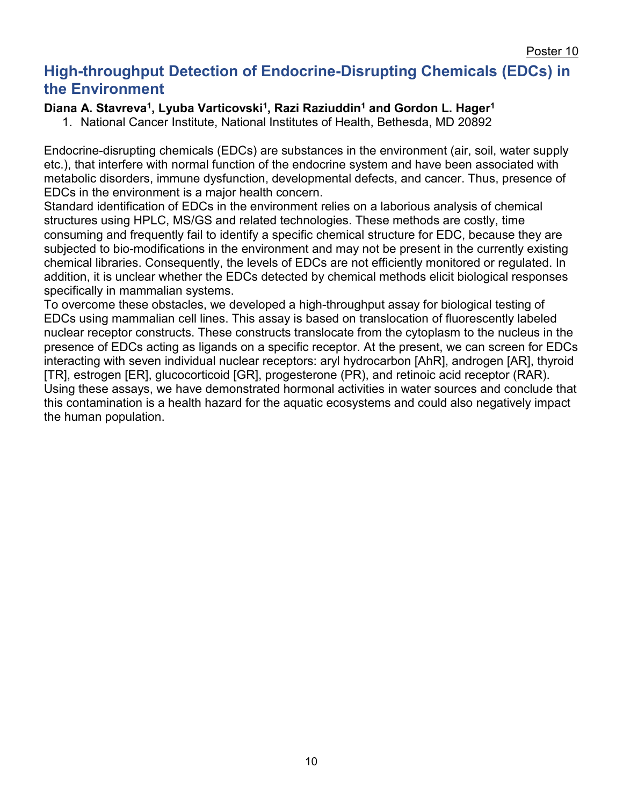# **High-throughput Detection of Endocrine-Disrupting Chemicals (EDCs) in the Environment**

#### Diana A. Stavreva<sup>1</sup>, Lyuba Varticovski<sup>1</sup>, Razi Raziuddin<sup>1</sup> and Gordon L. Hager<sup>1</sup>

1. National Cancer Institute, National Institutes of Health, Bethesda, MD 20892

Endocrine-disrupting chemicals (EDCs) are substances in the environment (air, soil, water supply etc.), that interfere with normal function of the endocrine system and have been associated with metabolic disorders, immune dysfunction, developmental defects, and cancer. Thus, presence of EDCs in the environment is a major health concern.

Standard identification of EDCs in the environment relies on a laborious analysis of chemical structures using HPLC, MS/GS and related technologies. These methods are costly, time consuming and frequently fail to identify a specific chemical structure for EDC, because they are subjected to bio-modifications in the environment and may not be present in the currently existing chemical libraries. Consequently, the levels of EDCs are not efficiently monitored or regulated. In addition, it is unclear whether the EDCs detected by chemical methods elicit biological responses specifically in mammalian systems.

To overcome these obstacles, we developed a high-throughput assay for biological testing of EDCs using mammalian cell lines. This assay is based on translocation of fluorescently labeled nuclear receptor constructs. These constructs translocate from the cytoplasm to the nucleus in the presence of EDCs acting as ligands on a specific receptor. At the present, we can screen for EDCs interacting with seven individual nuclear receptors: aryl hydrocarbon [AhR], androgen [AR], thyroid [TR], estrogen [ER], glucocorticoid [GR], progesterone (PR), and retinoic acid receptor (RAR). Using these assays, we have demonstrated hormonal activities in water sources and conclude that this contamination is a health hazard for the aquatic ecosystems and could also negatively impact the human population.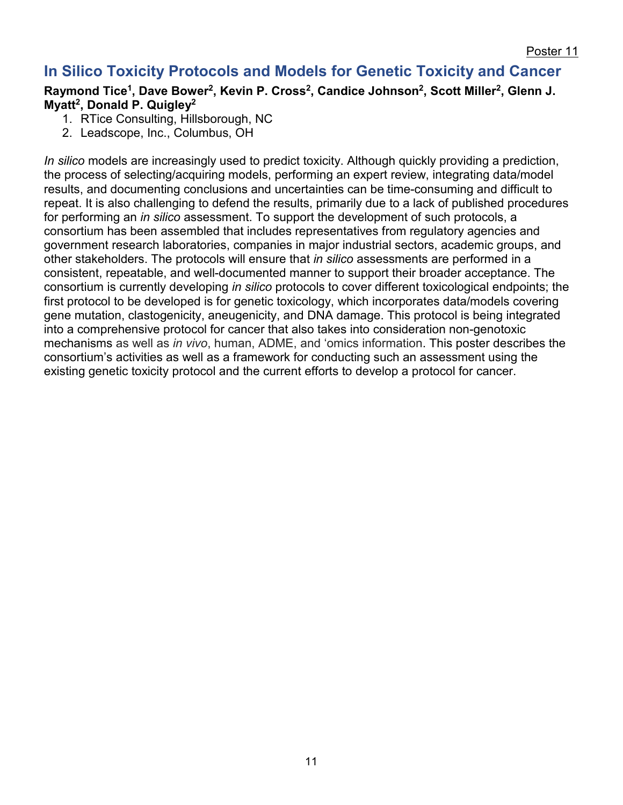# **In Silico Toxicity Protocols and Models for Genetic Toxicity and Cancer**

### Raymond Tice<sup>1</sup>, Dave Bower<sup>2</sup>, Kevin P. Cross<sup>2</sup>, Candice Johnson<sup>2</sup>, Scott Miller<sup>2</sup>, Glenn J. **Myatt2, Donald P. Quigley2**

- 1. RTice Consulting, Hillsborough, NC
- 2. Leadscope, Inc., Columbus, OH

*In silico* models are increasingly used to predict toxicity. Although quickly providing a prediction, the process of selecting/acquiring models, performing an expert review, integrating data/model results, and documenting conclusions and uncertainties can be time-consuming and difficult to repeat. It is also challenging to defend the results, primarily due to a lack of published procedures for performing an *in silico* assessment. To support the development of such protocols, a consortium has been assembled that includes representatives from regulatory agencies and government research laboratories, companies in major industrial sectors, academic groups, and other stakeholders. The protocols will ensure that *in silico* assessments are performed in a consistent, repeatable, and well-documented manner to support their broader acceptance. The consortium is currently developing *in silico* protocols to cover different toxicological endpoints; the first protocol to be developed is for genetic toxicology, which incorporates data/models covering gene mutation, clastogenicity, aneugenicity, and DNA damage. This protocol is being integrated into a comprehensive protocol for cancer that also takes into consideration non-genotoxic mechanisms as well as *in vivo*, human, ADME, and 'omics information. This poster describes the consortium's activities as well as a framework for conducting such an assessment using the existing genetic toxicity protocol and the current efforts to develop a protocol for cancer.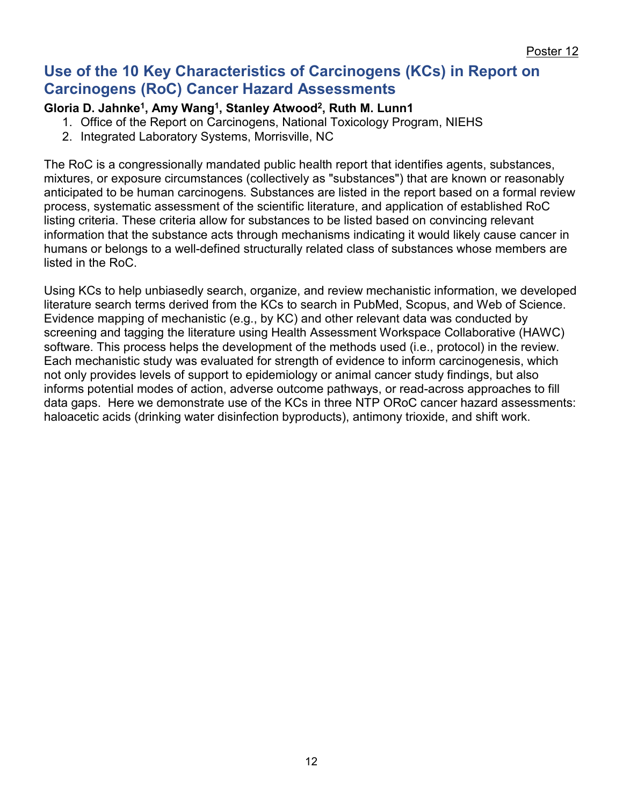## **Use of the 10 Key Characteristics of Carcinogens (KCs) in Report on Carcinogens (RoC) Cancer Hazard Assessments**

## **Gloria D. Jahnke1, Amy Wang1, Stanley Atwood2, Ruth M. Lunn1**

- 1. Office of the Report on Carcinogens, National Toxicology Program, NIEHS
- 2. Integrated Laboratory Systems, Morrisville, NC

The RoC is a congressionally mandated public health report that identifies agents, substances, mixtures, or exposure circumstances (collectively as "substances") that are known or reasonably anticipated to be human carcinogens*.* Substances are listed in the report based on a formal review process, systematic assessment of the scientific literature, and application of established RoC listing criteria. These criteria allow for substances to be listed based on convincing relevant information that the substance acts through mechanisms indicating it would likely cause cancer in humans or belongs to a well-defined structurally related class of substances whose members are listed in the RoC.

Using KCs to help unbiasedly search, organize, and review mechanistic information, we developed literature search terms derived from the KCs to search in PubMed, Scopus, and Web of Science. Evidence mapping of mechanistic (e.g., by KC) and other relevant data was conducted by screening and tagging the literature using Health Assessment Workspace Collaborative (HAWC) software. This process helps the development of the methods used (i.e., protocol) in the review. Each mechanistic study was evaluated for strength of evidence to inform carcinogenesis, which not only provides levels of support to epidemiology or animal cancer study findings, but also informs potential modes of action, adverse outcome pathways, or read-across approaches to fill data gaps. Here we demonstrate use of the KCs in three NTP ORoC cancer hazard assessments: haloacetic acids (drinking water disinfection byproducts), antimony trioxide, and shift work.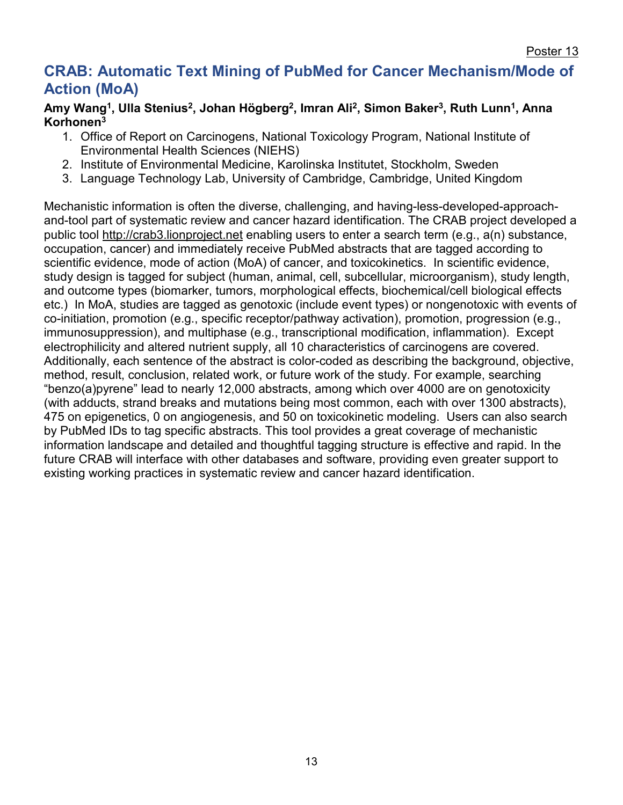Poster 13

## **CRAB: Automatic Text Mining of PubMed for Cancer Mechanism/Mode of Action (MoA)**

#### Amy Wang<sup>1</sup>, Ulla Stenius<sup>2</sup>, Johan Högberg<sup>2</sup>, Imran Ali<sup>2</sup>, Simon Baker<sup>3</sup>, Ruth Lunn<sup>1</sup>, Anna **Korhonen3**

- 1. Office of Report on Carcinogens, National Toxicology Program, National Institute of Environmental Health Sciences (NIEHS)
- 2. Institute of Environmental Medicine, Karolinska Institutet, Stockholm, Sweden
- 3. Language Technology Lab, University of Cambridge, Cambridge, United Kingdom

Mechanistic information is often the diverse, challenging, and having-less-developed-approachand-tool part of systematic review and cancer hazard identification. The CRAB project developed a public tool [http://crab3.lionproject.net](http://crab3.lionproject.net/) enabling users to enter a search term (e.g., a(n) substance, occupation, cancer) and immediately receive PubMed abstracts that are tagged according to scientific evidence, mode of action (MoA) of cancer, and toxicokinetics. In scientific evidence, study design is tagged for subject (human, animal, cell, subcellular, microorganism), study length, and outcome types (biomarker, tumors, morphological effects, biochemical/cell biological effects etc.) In MoA, studies are tagged as genotoxic (include event types) or nongenotoxic with events of co-initiation, promotion (e.g., specific receptor/pathway activation), promotion, progression (e.g., immunosuppression), and multiphase (e.g., transcriptional modification, inflammation). Except electrophilicity and altered nutrient supply, all 10 characteristics of carcinogens are covered. Additionally, each sentence of the abstract is color-coded as describing the background, objective, method, result, conclusion, related work, or future work of the study. For example, searching "benzo(a)pyrene" lead to nearly 12,000 abstracts, among which over 4000 are on genotoxicity (with adducts, strand breaks and mutations being most common, each with over 1300 abstracts), 475 on epigenetics, 0 on angiogenesis, and 50 on toxicokinetic modeling. Users can also search by PubMed IDs to tag specific abstracts. This tool provides a great coverage of mechanistic information landscape and detailed and thoughtful tagging structure is effective and rapid. In the future CRAB will interface with other databases and software, providing even greater support to existing working practices in systematic review and cancer hazard identification.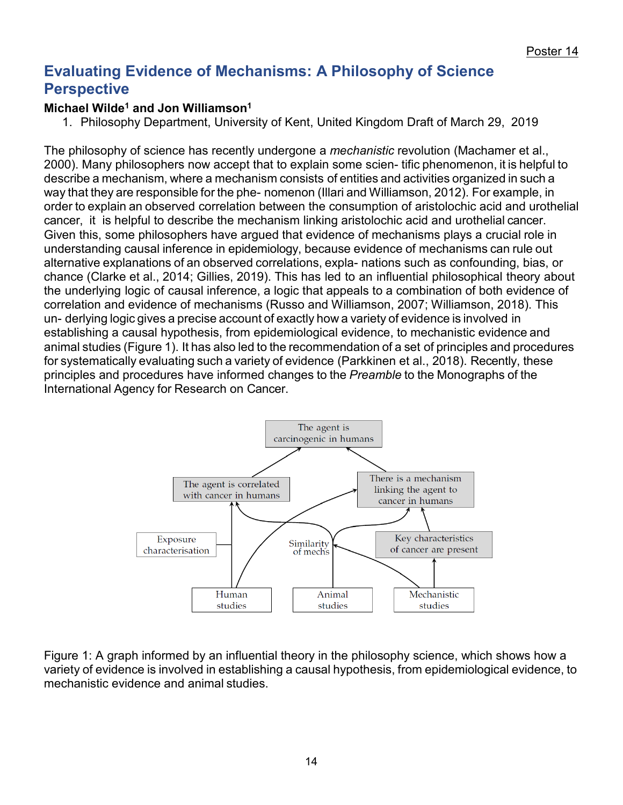# **Evaluating Evidence of Mechanisms: A Philosophy of Science Perspective**

## **[Michael Wilde1](http://www.kent.ac.uk/secl/philosophy/staff/wilde.html) and [Jon Williamson1](https://www.kent.ac.uk/secl/philosophy/staff/williamson.html)**

1. Philosophy Department, University of Kent, United Kingdom Draft of March 29, 2019

The philosophy of science has recently undergone a *mechanistic* revolution (Machamer et al., 2000). Many philosophers now accept that to explain some scien- tific phenomenon, it is helpful to describe a mechanism, where a mechanism consists of entities and activities organized in such a way that they are responsible for the phe- nomenon (Illari and Williamson, 2012). For example, in order to explain an observed correlation between the consumption of aristolochic acid and urothelial cancer, it is helpful to describe the mechanism linking aristolochic acid and urothelial cancer. Given this, some philosophers have argued that evidence of mechanisms plays a crucial role in understanding causal inference in epidemiology, because evidence of mechanisms can rule out alternative explanations of an observed correlations, expla- nations such as confounding, bias, or chance (Clarke et al., 2014; Gillies, 2019). This has led to an influential philosophical theory about the underlying logic of causal inference, a logic that appeals to a combination of both evidence of correlation and evidence of mechanisms (Russo and Williamson, 2007; Williamson, 2018). This un- derlying logic gives a precise account of exactly how a variety of evidence is involved in establishing a causal hypothesis, from epidemiological evidence, to mechanistic evidence and animal studies (Figure 1). It has also led to the recommendation of a set of principles and procedures for systematically evaluating such a variety of evidence (Parkkinen et al., 2018). Recently, these principles and procedures have informed changes to the *Preamble* to the Monographs of the International Agency for Research on Cancer.



Figure 1: A graph informed by an influential theory in the philosophy science, which shows how a variety of evidence is involved in establishing a causal hypothesis, from epidemiological evidence, to mechanistic evidence and animal studies.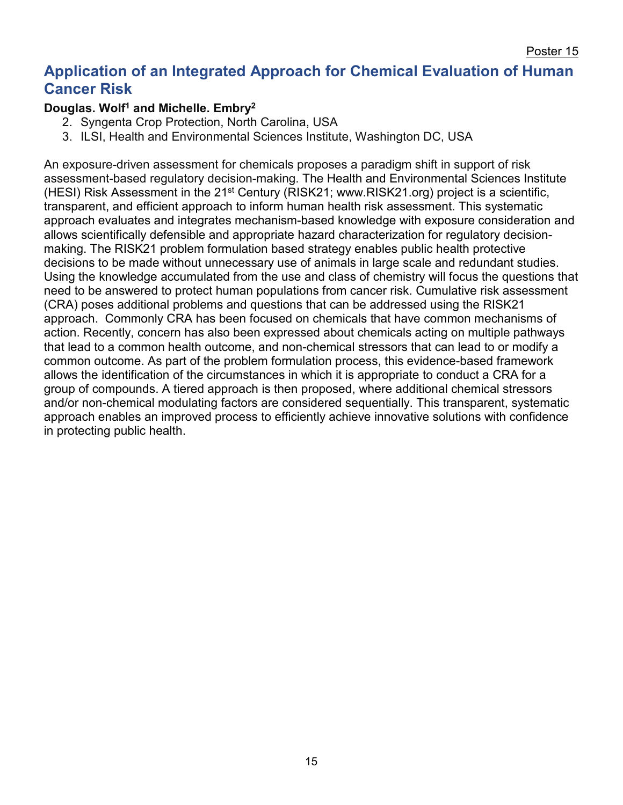Poster 15

## **Application of an Integrated Approach for Chemical Evaluation of Human Cancer Risk**

## **Douglas. Wolf1 and Michelle. Embry2**

- 2. Syngenta Crop Protection, North Carolina, USA
- 3. ILSI, Health and Environmental Sciences Institute, Washington DC, USA

An exposure-driven assessment for chemicals proposes a paradigm shift in support of risk assessment-based regulatory decision-making. The Health and Environmental Sciences Institute (HESI) Risk Assessment in the 21st Century (RISK21; www.RISK21.org) project is a scientific, transparent, and efficient approach to inform human health risk assessment. This systematic approach evaluates and integrates mechanism-based knowledge with exposure consideration and allows scientifically defensible and appropriate hazard characterization for regulatory decisionmaking. The RISK21 problem formulation based strategy enables public health protective decisions to be made without unnecessary use of animals in large scale and redundant studies. Using the knowledge accumulated from the use and class of chemistry will focus the questions that need to be answered to protect human populations from cancer risk. Cumulative risk assessment (CRA) poses additional problems and questions that can be addressed using the RISK21 approach. Commonly CRA has been focused on chemicals that have common mechanisms of action. Recently, concern has also been expressed about chemicals acting on multiple pathways that lead to a common health outcome, and non-chemical stressors that can lead to or modify a common outcome. As part of the problem formulation process, this evidence-based framework allows the identification of the circumstances in which it is appropriate to conduct a CRA for a group of compounds. A tiered approach is then proposed, where additional chemical stressors and/or non-chemical modulating factors are considered sequentially. This transparent, systematic approach enables an improved process to efficiently achieve innovative solutions with confidence in protecting public health.